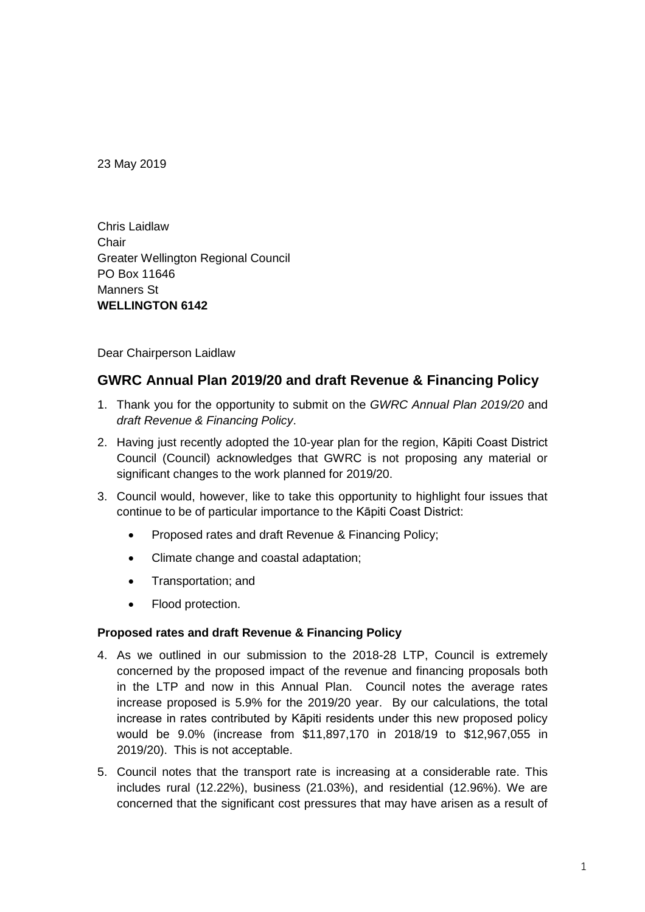23 May 2019

Chris Laidlaw **Chair** Greater Wellington Regional Council PO Box 11646 Manners St **WELLINGTON 6142**

Dear Chairperson Laidlaw

# **GWRC Annual Plan 2019/20 and draft Revenue & Financing Policy**

- 1. Thank you for the opportunity to submit on the *GWRC Annual Plan 2019/20* and *draft Revenue & Financing Policy*.
- 2. Having just recently adopted the 10-year plan for the region, Kāpiti Coast District Council (Council) acknowledges that GWRC is not proposing any material or significant changes to the work planned for 2019/20.
- 3. Council would, however, like to take this opportunity to highlight four issues that continue to be of particular importance to the Kāpiti Coast District:
	- Proposed rates and draft Revenue & Financing Policy;
	- Climate change and coastal adaptation;
	- Transportation; and
	- Flood protection.

#### **Proposed rates and draft Revenue & Financing Policy**

- 4. As we outlined in our submission to the 2018-28 LTP, Council is extremely concerned by the proposed impact of the revenue and financing proposals both in the LTP and now in this Annual Plan. Council notes the average rates increase proposed is 5.9% for the 2019/20 year. By our calculations, the total increase in rates contributed by Kāpiti residents under this new proposed policy would be 9.0% (increase from \$11,897,170 in 2018/19 to \$12,967,055 in 2019/20). This is not acceptable.
- 5. Council notes that the transport rate is increasing at a considerable rate. This includes rural (12.22%), business (21.03%), and residential (12.96%). We are concerned that the significant cost pressures that may have arisen as a result of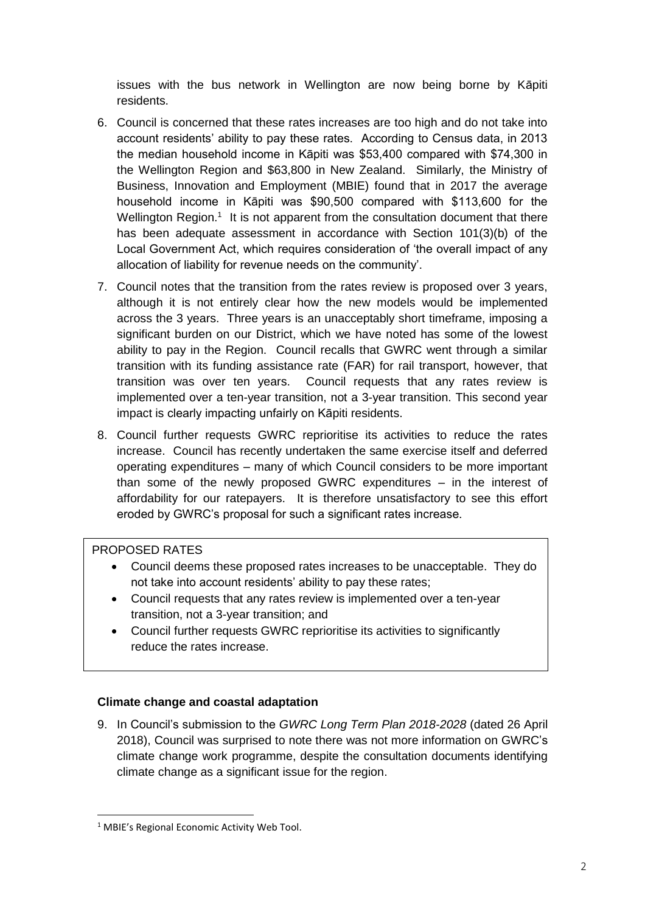issues with the bus network in Wellington are now being borne by Kāpiti residents.

- 6. Council is concerned that these rates increases are too high and do not take into account residents' ability to pay these rates. According to Census data, in 2013 the median household income in Kāpiti was \$53,400 compared with \$74,300 in the Wellington Region and \$63,800 in New Zealand. Similarly, the Ministry of Business, Innovation and Employment (MBIE) found that in 2017 the average household income in Kāpiti was \$90,500 compared with \$113,600 for the Wellington Region.<sup>1</sup> It is not apparent from the consultation document that there has been adequate assessment in accordance with Section 101(3)(b) of the Local Government Act, which requires consideration of 'the overall impact of any allocation of liability for revenue needs on the community'.
- 7. Council notes that the transition from the rates review is proposed over 3 years, although it is not entirely clear how the new models would be implemented across the 3 years. Three years is an unacceptably short timeframe, imposing a significant burden on our District, which we have noted has some of the lowest ability to pay in the Region. Council recalls that GWRC went through a similar transition with its funding assistance rate (FAR) for rail transport, however, that transition was over ten years. Council requests that any rates review is implemented over a ten-year transition, not a 3-year transition. This second year impact is clearly impacting unfairly on Kāpiti residents.
- 8. Council further requests GWRC reprioritise its activities to reduce the rates increase. Council has recently undertaken the same exercise itself and deferred operating expenditures – many of which Council considers to be more important than some of the newly proposed GWRC expenditures – in the interest of affordability for our ratepayers. It is therefore unsatisfactory to see this effort eroded by GWRC's proposal for such a significant rates increase.

## PROPOSED RATES

- Council deems these proposed rates increases to be unacceptable. They do not take into account residents' ability to pay these rates;
- Council requests that any rates review is implemented over a ten-year transition, not a 3-year transition; and
- Council further requests GWRC reprioritise its activities to significantly reduce the rates increase.

## **Climate change and coastal adaptation**

9. In Council's submission to the *GWRC Long Term Plan 2018-2028* (dated 26 April 2018), Council was surprised to note there was not more information on GWRC's climate change work programme, despite the consultation documents identifying climate change as a significant issue for the region.

 $\overline{a}$ <sup>1</sup> MBIE's Regional Economic Activity Web Tool.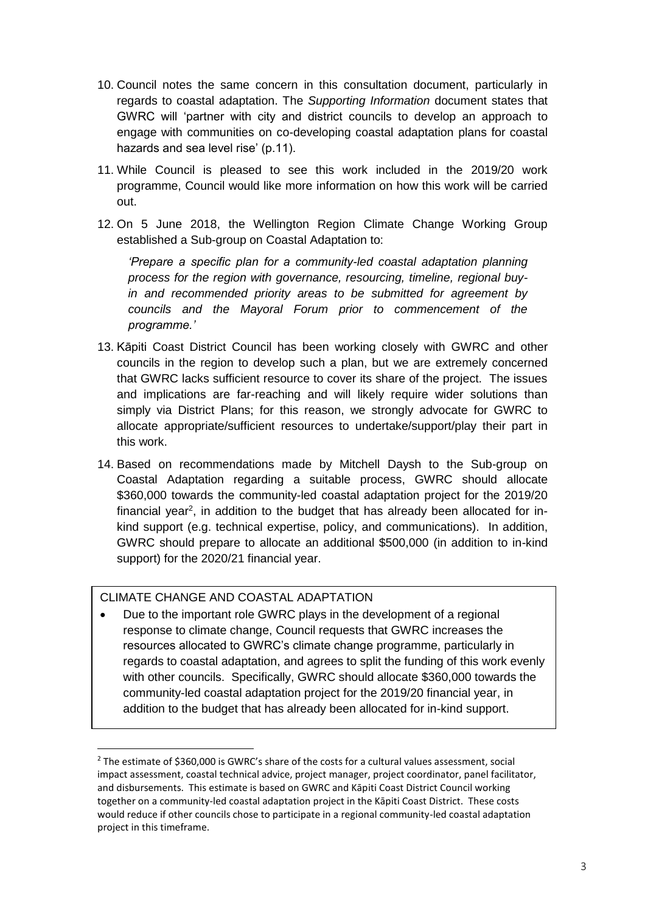- 10. Council notes the same concern in this consultation document, particularly in regards to coastal adaptation. The *Supporting Information* document states that GWRC will 'partner with city and district councils to develop an approach to engage with communities on co-developing coastal adaptation plans for coastal hazards and sea level rise' (p.11).
- 11. While Council is pleased to see this work included in the 2019/20 work programme, Council would like more information on how this work will be carried out.
- 12. On 5 June 2018, the Wellington Region Climate Change Working Group established a Sub-group on Coastal Adaptation to:

*'Prepare a specific plan for a community-led coastal adaptation planning process for the region with governance, resourcing, timeline, regional buyin and recommended priority areas to be submitted for agreement by councils and the Mayoral Forum prior to commencement of the programme.'*

- 13. Kāpiti Coast District Council has been working closely with GWRC and other councils in the region to develop such a plan, but we are extremely concerned that GWRC lacks sufficient resource to cover its share of the project. The issues and implications are far-reaching and will likely require wider solutions than simply via District Plans; for this reason, we strongly advocate for GWRC to allocate appropriate/sufficient resources to undertake/support/play their part in this work.
- 14. Based on recommendations made by Mitchell Daysh to the Sub-group on Coastal Adaptation regarding a suitable process, GWRC should allocate \$360,000 towards the community-led coastal adaptation project for the 2019/20 financial year<sup>2</sup>, in addition to the budget that has already been allocated for inkind support (e.g. technical expertise, policy, and communications). In addition, GWRC should prepare to allocate an additional \$500,000 (in addition to in-kind support) for the 2020/21 financial year.

## CLIMATE CHANGE AND COASTAL ADAPTATION

 $\overline{a}$ 

 $\overline{a}$ 

• Due to the important role GWRC plays in the development of a regional response to climate change, Council requests that GWRC increases the resources allocated to GWRC's climate change programme, particularly in regards to coastal adaptation, and agrees to split the funding of this work evenly with other councils. Specifically, GWRC should allocate \$360,000 towards the community-led coastal adaptation project for the 2019/20 financial year, in addition to the budget that has already been allocated for in-kind support.

<sup>&</sup>lt;sup>2</sup> The estimate of \$360,000 is GWRC's share of the costs for a cultural values assessment, social impact assessment, coastal technical advice, project manager, project coordinator, panel facilitator, and disbursements. This estimate is based on GWRC and Kāpiti Coast District Council working together on a community-led coastal adaptation project in the Kāpiti Coast District. These costs would reduce if other councils chose to participate in a regional community-led coastal adaptation project in this timeframe.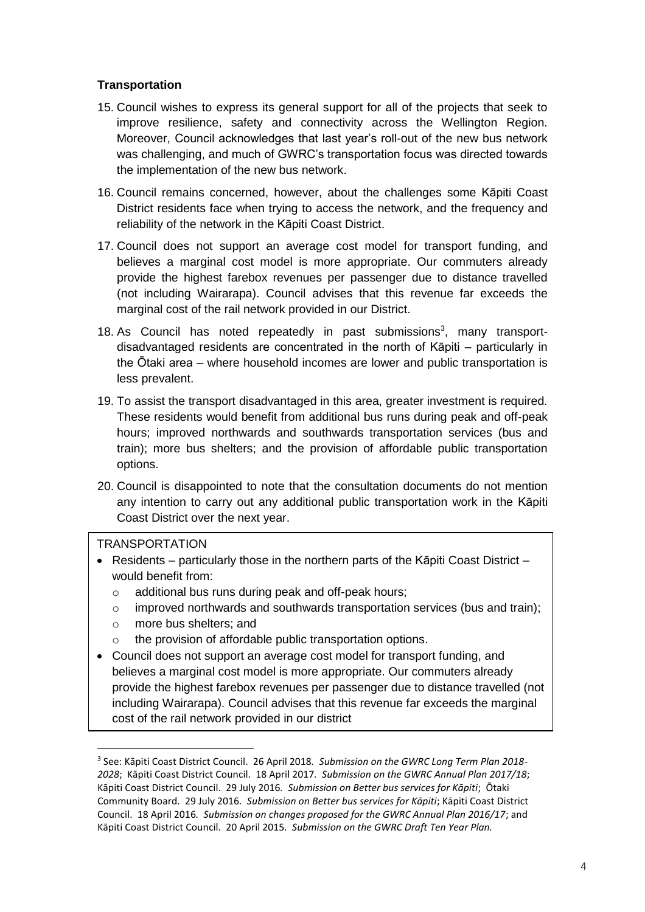# **Transportation**

- 15. Council wishes to express its general support for all of the projects that seek to improve resilience, safety and connectivity across the Wellington Region. Moreover, Council acknowledges that last year's roll-out of the new bus network was challenging, and much of GWRC's transportation focus was directed towards the implementation of the new bus network.
- 16. Council remains concerned, however, about the challenges some Kāpiti Coast District residents face when trying to access the network, and the frequency and reliability of the network in the Kāpiti Coast District.
- 17. Council does not support an average cost model for transport funding, and believes a marginal cost model is more appropriate. Our commuters already provide the highest farebox revenues per passenger due to distance travelled (not including Wairarapa). Council advises that this revenue far exceeds the marginal cost of the rail network provided in our District.
- 18. As Council has noted repeatedly in past submissions<sup>3</sup>, many transportdisadvantaged residents are concentrated in the north of Kāpiti – particularly in the Ōtaki area – where household incomes are lower and public transportation is less prevalent.
- 19. To assist the transport disadvantaged in this area, greater investment is required. These residents would benefit from additional bus runs during peak and off-peak hours; improved northwards and southwards transportation services (bus and train); more bus shelters; and the provision of affordable public transportation options.
- 20. Council is disappointed to note that the consultation documents do not mention any intention to carry out any additional public transportation work in the Kāpiti Coast District over the next year.

# **TRANSPORTATION**

 $\overline{a}$ 

o

- Residents particularly those in the northern parts of the Kāpiti Coast District would benefit from:
	- o additional bus runs during peak and off-peak hours;
	- o improved northwards and southwards transportation services (bus and train);
	- o more bus shelters; and
	- o the provision of affordable public transportation options.
- Council does not support an average cost model for transport funding, and believes a marginal cost model is more appropriate. Our commuters already provide the highest farebox revenues per passenger due to distance travelled (not including Wairarapa). Council advises that this revenue far exceeds the marginal cost of the rail network provided in our district

<sup>3</sup> See: Kāpiti Coast District Council. 26 April 2018*. Submission on the GWRC Long Term Plan 2018- 2028*; Kāpiti Coast District Council. 18 April 2017*. Submission on the GWRC Annual Plan 2017/18*; Kāpiti Coast District Council. 29 July 2016*. Submission on Better bus services for Kāpiti*; Ōtaki Community Board. 29 July 2016*. Submission on Better bus services for Kāpiti*; Kāpiti Coast District Council. 18 April 2016*. Submission on changes proposed for the GWRC Annual Plan 2016/17*; and Kāpiti Coast District Council. 20 April 2015*. Submission on the GWRC Draft Ten Year Plan.* o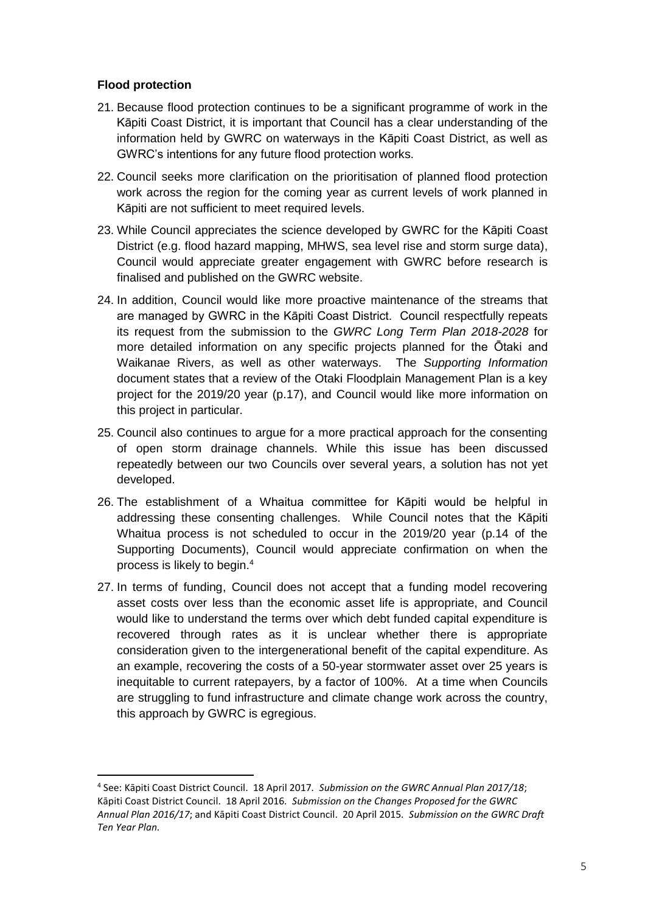#### **Flood protection**

 $\overline{a}$ 

- 21. Because flood protection continues to be a significant programme of work in the Kāpiti Coast District, it is important that Council has a clear understanding of the information held by GWRC on waterways in the Kāpiti Coast District, as well as GWRC's intentions for any future flood protection works.
- 22. Council seeks more clarification on the prioritisation of planned flood protection work across the region for the coming year as current levels of work planned in Kāpiti are not sufficient to meet required levels.
- 23. While Council appreciates the science developed by GWRC for the Kāpiti Coast District (e.g. flood hazard mapping, MHWS, sea level rise and storm surge data), Council would appreciate greater engagement with GWRC before research is finalised and published on the GWRC website.
- 24. In addition, Council would like more proactive maintenance of the streams that are managed by GWRC in the Kāpiti Coast District. Council respectfully repeats its request from the submission to the *GWRC Long Term Plan 2018-2028* for more detailed information on any specific projects planned for the Ōtaki and Waikanae Rivers, as well as other waterways. The *Supporting Information* document states that a review of the Otaki Floodplain Management Plan is a key project for the 2019/20 year (p.17), and Council would like more information on this project in particular.
- 25. Council also continues to argue for a more practical approach for the consenting of open storm drainage channels. While this issue has been discussed repeatedly between our two Councils over several years, a solution has not yet developed.
- 26. The establishment of a Whaitua committee for Kāpiti would be helpful in addressing these consenting challenges. While Council notes that the Kāpiti Whaitua process is not scheduled to occur in the 2019/20 year (p.14 of the Supporting Documents), Council would appreciate confirmation on when the process is likely to begin. 4
- 27. In terms of funding, Council does not accept that a funding model recovering asset costs over less than the economic asset life is appropriate, and Council would like to understand the terms over which debt funded capital expenditure is recovered through rates as it is unclear whether there is appropriate consideration given to the intergenerational benefit of the capital expenditure. As an example, recovering the costs of a 50-year stormwater asset over 25 years is inequitable to current ratepayers, by a factor of 100%. At a time when Councils are struggling to fund infrastructure and climate change work across the country, this approach by GWRC is egregious.

<sup>4</sup> See: Kāpiti Coast District Council. 18 April 2017*. Submission on the GWRC Annual Plan 2017/18*; Kāpiti Coast District Council. 18 April 2016*. Submission on the Changes Proposed for the GWRC Annual Plan 2016/17*; and Kāpiti Coast District Council. 20 April 2015*. Submission on the GWRC Draft Ten Year Plan.*